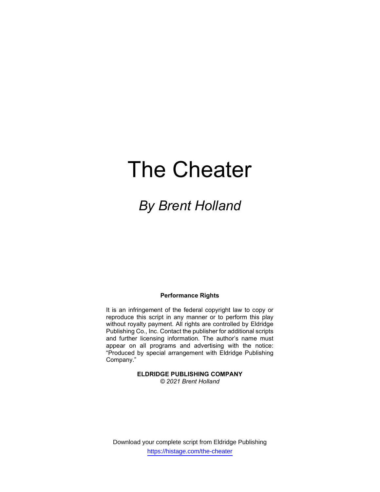# The Cheater

# By Brent Holland

#### Performance Rights

It is an infringement of the federal copyright law to copy or reproduce this script in any manner or to perform this play without royalty payment. All rights are controlled by Eldridge Publishing Co., Inc. Contact the publisher for additional scripts and further licensing information. The author's name must appear on all programs and advertising with the notice: "Produced by special arrangement with Eldridge Publishing Company."

> ELDRIDGE PUBLISHING COMPANY © 2021 Brent Holland

Download your complete script from Eldridge Publishing https://histage.com/the-cheater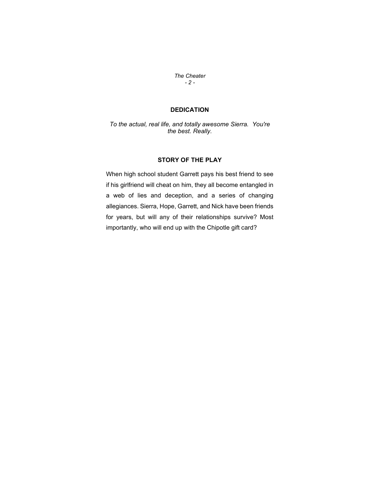The Cheater - 2 -

## DEDICATION

To the actual, real life, and totally awesome Sierra. You're the best. Really.

#### STORY OF THE PLAY

When high school student Garrett pays his best friend to see if his girlfriend will cheat on him, they all become entangled in a web of lies and deception, and a series of changing allegiances. Sierra, Hope, Garrett, and Nick have been friends for years, but will any of their relationships survive? Most importantly, who will end up with the Chipotle gift card?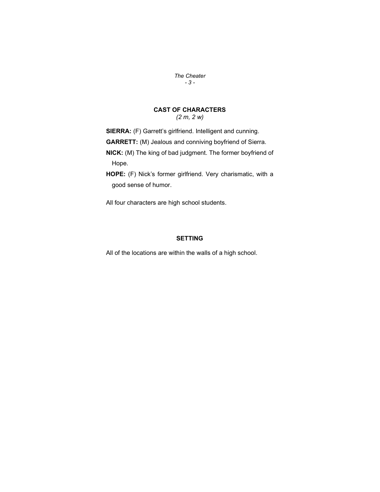The Cheater - 3 -

#### CAST OF CHARACTERS (2 m, 2 w)

SIERRA: (F) Garrett's girlfriend. Intelligent and cunning. GARRETT: (M) Jealous and conniving boyfriend of Sierra.

NICK: (M) The king of bad judgment. The former boyfriend of Hope.

HOPE: (F) Nick's former girlfriend. Very charismatic, with a good sense of humor.

All four characters are high school students.

### SETTING

All of the locations are within the walls of a high school.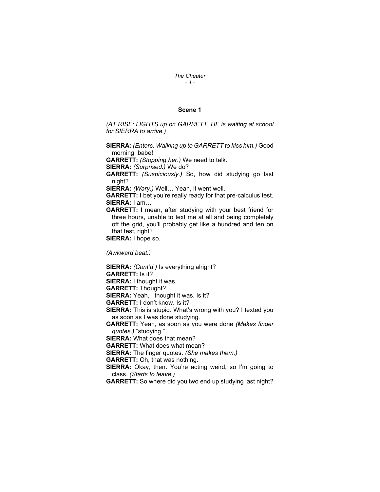#### The Cheater  $-4-$

#### Scene 1

(AT RISE: LIGHTS up on GARRETT. HE is waiting at school for SIERRA to arrive.)

SIERRA: (Enters. Walking up to GARRETT to kiss him.) Good morning, babe!

GARRETT: (Stopping her.) We need to talk.

SIERRA: (Surprised.) We do?

GARRETT: (Suspiciously.) So, how did studying go last night?

SIERRA: (Wary.) Well... Yeah, it went well.

GARRETT: I bet you're really ready for that pre-calculus test. SIERRA: I am…

GARRETT: I mean, after studying with your best friend for three hours, unable to text me at all and being completely off the grid, you'll probably get like a hundred and ten on that test, right?

SIERRA: I hope so.

(Awkward beat.)

SIERRA: (Cont'd.) Is everything alright? GARRETT: Is it? SIERRA: I thought it was. GARRETT: Thought? SIERRA: Yeah, I thought it was. Is it? GARRETT: I don't know. Is it? SIERRA: This is stupid. What's wrong with you? I texted you as soon as I was done studying. GARRETT: Yeah, as soon as you were done (Makes finger quotes.) "studying." SIERRA: What does that mean? GARRETT: What does what mean? **SIERRA:** The finger quotes. (She makes them.) GARRETT: Oh, that was nothing. SIERRA: Okay, then. You're acting weird, so I'm going to class. (Starts to leave.) GARRETT: So where did you two end up studying last night?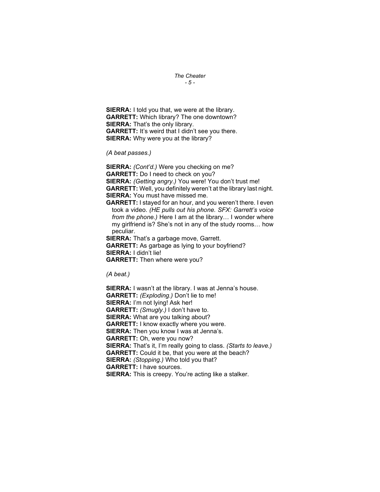#### The Cheater - 5 -

SIERRA: I told you that, we were at the library. GARRETT: Which library? The one downtown? SIERRA: That's the only library. GARRETT: It's weird that I didn't see you there. SIERRA: Why were you at the library?

(A beat passes.)

SIERRA: (Cont'd.) Were you checking on me? GARRETT: Do I need to check on you? SIERRA: (Getting angry.) You were! You don't trust me! GARRETT: Well, you definitely weren't at the library last night. SIERRA: You must have missed me.

GARRETT: I stayed for an hour, and you weren't there. I even took a video. (HE pulls out his phone. SFX: Garrett's voice from the phone.) Here I am at the library... I wonder where my girlfriend is? She's not in any of the study rooms… how peculiar.

**SIERRA:** That's a garbage move, Garrett. GARRETT: As garbage as lying to your boyfriend? SIERRA: I didn't lie! GARRETT: Then where were you?

(A beat.)

SIERRA: I wasn't at the library. I was at Jenna's house. GARRETT: (Exploding.) Don't lie to me! SIERRA: I'm not lying! Ask her! GARRETT: (Smugly.) I don't have to. SIERRA: What are you talking about? GARRETT: I know exactly where you were. SIERRA: Then you know I was at Jenna's. GARRETT: Oh, were you now? SIERRA: That's it, I'm really going to class. (Starts to leave.) GARRETT: Could it be, that you were at the beach? SIERRA: (Stopping.) Who told you that? GARRETT: I have sources. SIERRA: This is creepy. You're acting like a stalker.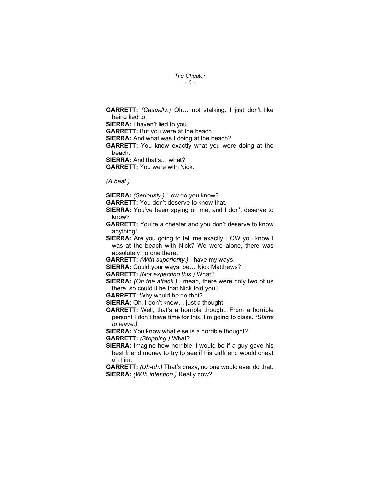#### The Cheater - 6 -

GARRETT: (Casually.) Oh… not stalking. I just don't like being lied to. SIERRA: I haven't lied to you. GARRETT: But you were at the beach. **SIERRA:** And what was I doing at the beach? GARRETT: You know exactly what you were doing at the beach. SIERRA: And that's… what? GARRETT: You were with Nick.

(A beat.)

SIERRA: (Seriously.) How do you know?

GARRETT: You don't deserve to know that.

**SIERRA:** You've been spying on me, and I don't deserve to know?

GARRETT: You're a cheater and you don't deserve to know anything!

SIERRA: Are you going to tell me exactly HOW you know I was at the beach with Nick? We were alone, there was absolutely no one there.

GARRETT: (With superiority.) I have my ways.

SIERRA: Could your ways, be… Nick Matthews?

GARRETT: (Not expecting this.) What?

SIERRA: (On the attack.) I mean, there were only two of us there, so could it be that Nick told you?

GARRETT: Why would he do that?

SIERRA: Oh, I don't know... just a thought.

GARRETT: Well, that's a horrible thought. From a horrible person! I don't have time for this, I'm going to class. (Starts to leave.)

SIERRA: You know what else is a horrible thought? GARRETT: (Stopping.) What?

SIERRA: Imagine how horrible it would be if a guy gave his best friend money to try to see if his girlfriend would cheat on him.

GARRETT: (Uh-oh.) That's crazy, no one would ever do that. SIERRA: (With intention.) Really now?